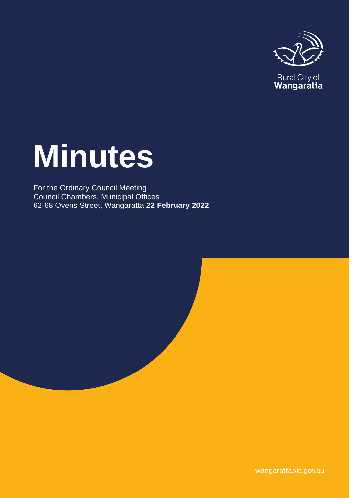

Rural City of<br>**Wangaratta** 

# **Minutes**

For the Ordinary Council Meeting Council Chambers, Municipal Offices 62-68 Ovens Street, Wangaratta **22 February 2022**

wangaratta.vic.gov.au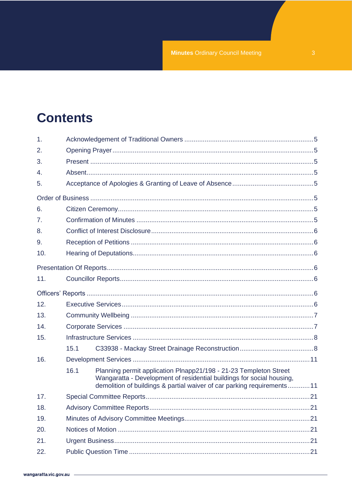## **Contents**

| 1.  |      |                                                                                                                                                                                                                      |  |
|-----|------|----------------------------------------------------------------------------------------------------------------------------------------------------------------------------------------------------------------------|--|
| 2.  |      |                                                                                                                                                                                                                      |  |
| 3.  |      |                                                                                                                                                                                                                      |  |
| 4.  |      |                                                                                                                                                                                                                      |  |
| 5.  |      |                                                                                                                                                                                                                      |  |
|     |      |                                                                                                                                                                                                                      |  |
| 6.  |      |                                                                                                                                                                                                                      |  |
| 7.  |      |                                                                                                                                                                                                                      |  |
| 8.  |      |                                                                                                                                                                                                                      |  |
| 9.  |      |                                                                                                                                                                                                                      |  |
| 10. |      |                                                                                                                                                                                                                      |  |
|     |      |                                                                                                                                                                                                                      |  |
| 11. |      |                                                                                                                                                                                                                      |  |
|     |      |                                                                                                                                                                                                                      |  |
| 12. |      |                                                                                                                                                                                                                      |  |
| 13. |      |                                                                                                                                                                                                                      |  |
| 14. |      |                                                                                                                                                                                                                      |  |
| 15. |      |                                                                                                                                                                                                                      |  |
|     | 15.1 |                                                                                                                                                                                                                      |  |
| 16. |      |                                                                                                                                                                                                                      |  |
|     | 16.1 | Planning permit application Plnapp21/198 - 21-23 Templeton Street<br>Wangaratta - Development of residential buildings for social housing,<br>demolition of buildings & partial waiver of car parking requirements11 |  |
| 17. |      |                                                                                                                                                                                                                      |  |
| 18. |      |                                                                                                                                                                                                                      |  |
| 19. |      |                                                                                                                                                                                                                      |  |
| 20. |      |                                                                                                                                                                                                                      |  |
| 21. |      |                                                                                                                                                                                                                      |  |
| 22. |      |                                                                                                                                                                                                                      |  |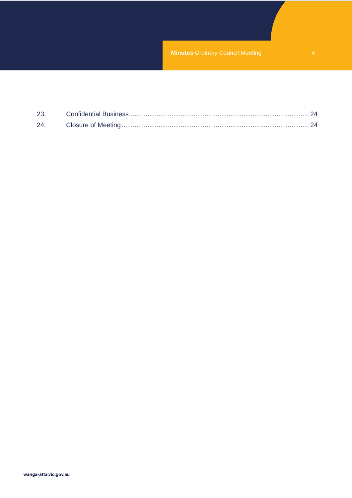| 23. |  |
|-----|--|
| 24. |  |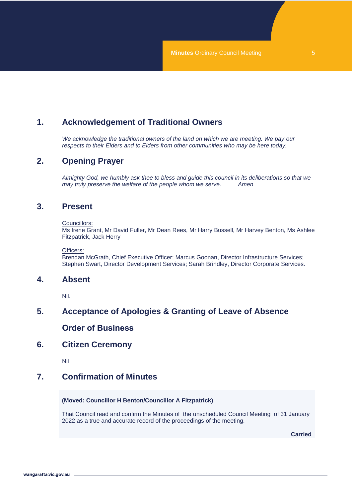## <span id="page-4-0"></span>**1. Acknowledgement of Traditional Owners**

*We acknowledge the traditional owners of the land on which we are meeting. We pay our respects to their Elders and to Elders from other communities who may be here today.*

## <span id="page-4-1"></span>**2. Opening Prayer**

*Almighty God, we humbly ask thee to bless and guide this council in its deliberations so that we may truly preserve the welfare of the people whom we serve. Amen*

## <span id="page-4-2"></span>**3. Present**

#### Councillors:

Ms Irene Grant, Mr David Fuller, Mr Dean Rees, Mr Harry Bussell, Mr Harvey Benton, Ms Ashlee Fitzpatrick, Jack Herry

Officers:

Brendan McGrath, Chief Executive Officer; Marcus Goonan, Director Infrastructure Services; Stephen Swart, Director Development Services; Sarah Brindley, Director Corporate Services.

### <span id="page-4-3"></span>**4. Absent**

Nil.

## <span id="page-4-5"></span><span id="page-4-4"></span>**5. Acceptance of Apologies & Granting of Leave of Absence**

## **Order of Business**

## <span id="page-4-6"></span>**6. Citizen Ceremony**

Nil

## <span id="page-4-7"></span>**7. Confirmation of Minutes**

#### **(Moved: Councillor H Benton/Councillor A Fitzpatrick)**

That Council read and confirm the Minutes of the unscheduled Council Meeting of 31 January 2022 as a true and accurate record of the proceedings of the meeting.

**Carried**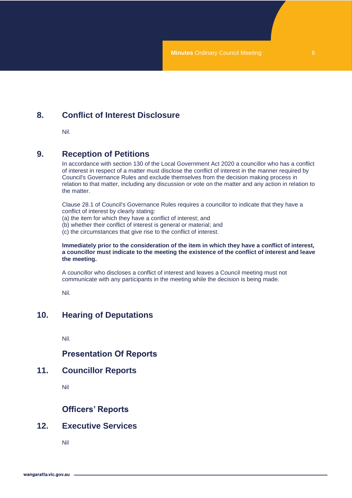## <span id="page-5-0"></span>**8. Conflict of Interest Disclosure**

Nil.

## <span id="page-5-1"></span>**9. Reception of Petitions**

In accordance with section 130 of the Local Government Act 2020 a councillor who has a conflict of interest in respect of a matter must disclose the conflict of interest in the manner required by Council's Governance Rules and exclude themselves from the decision making process in relation to that matter, including any discussion or vote on the matter and any action in relation to the matter.

Clause 28.1 of Council's Governance Rules requires a councillor to indicate that they have a conflict of interest by clearly stating:

(a) the item for which they have a conflict of interest; and

(b) whether their conflict of interest is general or material; and

(c) the circumstances that give rise to the conflict of interest.

**Immediately prior to the consideration of the item in which they have a conflict of interest, a councillor must indicate to the meeting the existence of the conflict of interest and leave the meeting.**

A councillor who discloses a conflict of interest and leaves a Council meeting must not communicate with any participants in the meeting while the decision is being made.

Nil.

## <span id="page-5-2"></span>**10. Hearing of Deputations**

Nil.

## **Presentation Of Reports**

## <span id="page-5-4"></span><span id="page-5-3"></span>**11. Councillor Reports**

Nil

## **Officers' Reports**

## <span id="page-5-6"></span><span id="page-5-5"></span>**12. Executive Services**

Nil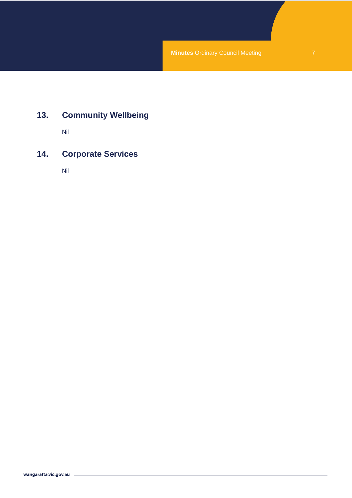## <span id="page-6-0"></span>**13. Community Wellbeing**

Nil

## <span id="page-6-1"></span>**14. Corporate Services**

Nil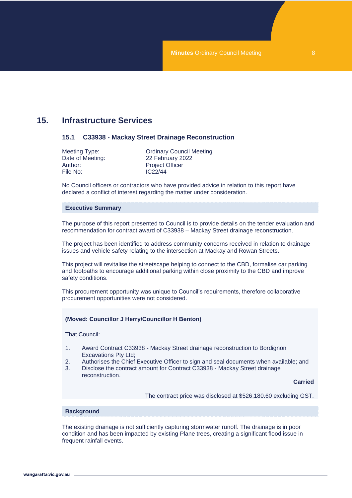## <span id="page-7-1"></span><span id="page-7-0"></span>**15. Infrastructure Services**

#### **15.1 C33938 - Mackay Street Drainage Reconstruction**

| Meeting Type:    |
|------------------|
| Date of Meeting: |
| Author:          |
| File No:         |

**Ordinary Council Meeting** 22 February 2022 Project Officer  $IC22/44$ 

No Council officers or contractors who have provided advice in relation to this report have declared a conflict of interest regarding the matter under consideration.

#### **Executive Summary**

The purpose of this report presented to Council is to provide details on the tender evaluation and recommendation for contract award of C33938 – Mackay Street drainage reconstruction.

The project has been identified to address community concerns received in relation to drainage issues and vehicle safety relating to the intersection at Mackay and Rowan Streets.

This project will revitalise the streetscape helping to connect to the CBD, formalise car parking and footpaths to encourage additional parking within close proximity to the CBD and improve safety conditions.

This procurement opportunity was unique to Council's requirements, therefore collaborative procurement opportunities were not considered.

#### **(Moved: Councillor J Herry/Councillor H Benton)**

That Council:

- 1. Award Contract C33938 Mackay Street drainage reconstruction to Bordignon Excavations Pty Ltd;
- 2. Authorises the Chief Executive Officer to sign and seal documents when available; and
- 3. Disclose the contract amount for Contract C33938 Mackay Street drainage reconstruction.

**Carried**

The contract price was disclosed at \$526,180.60 excluding GST.

#### **Background**

The existing drainage is not sufficiently capturing stormwater runoff. The drainage is in poor condition and has been impacted by existing Plane trees, creating a significant flood issue in frequent rainfall events.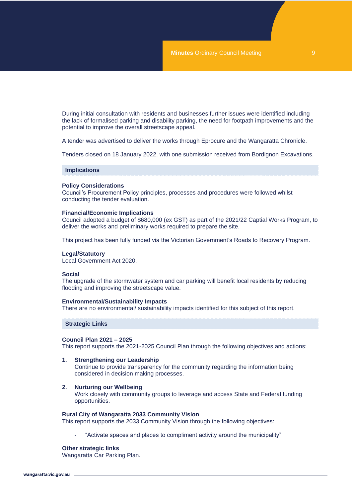During initial consultation with residents and businesses further issues were identified including the lack of formalised parking and disability parking, the need for footpath improvements and the potential to improve the overall streetscape appeal.

A tender was advertised to deliver the works through Eprocure and the Wangaratta Chronicle.

Tenders closed on 18 January 2022, with one submission received from Bordignon Excavations.

#### **Implications**

#### **Policy Considerations**

Council's Procurement Policy principles, processes and procedures were followed whilst conducting the tender evaluation.

#### **Financial/Economic Implications**

Council adopted a budget of \$680,000 (ex GST) as part of the 2021/22 Captial Works Program, to deliver the works and preliminary works required to prepare the site.

This project has been fully funded via the Victorian Government's Roads to Recovery Program.

#### **Legal/Statutory**

Local Government Act 2020.

#### **Social**

The upgrade of the stormwater system and car parking will benefit local residents by reducing flooding and improving the streetscape value.

#### **Environmental/Sustainability Impacts**

There are no environmental/ sustainability impacts identified for this subject of this report.

**Strategic Links**

#### **Council Plan 2021 – 2025**

This report supports the 2021-2025 Council Plan through the following objectives and actions:

#### **1. Strengthening our Leadership**

Continue to provide transparency for the community regarding the information being considered in decision making processes.

#### **2. Nurturing our Wellbeing**

Work closely with community groups to leverage and access State and Federal funding opportunities.

#### **Rural City of Wangaratta 2033 Community Vision**

This report supports the 2033 Community Vision through the following objectives:

- "Activate spaces and places to compliment activity around the municipality".

#### **Other strategic links**

Wangaratta Car Parking Plan.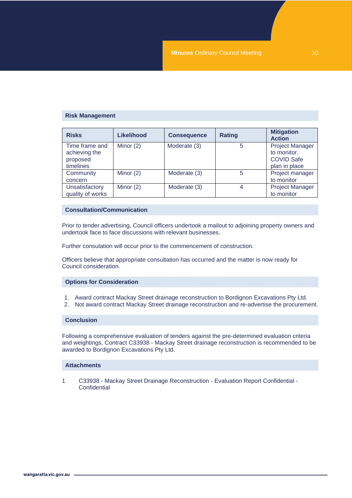#### **Risk Management**

| <b>Risks</b>                                             | <b>Likelihood</b> | <b>Consequence</b> | <b>Rating</b> | <b>Mitigation</b><br><b>Action</b>                                          |
|----------------------------------------------------------|-------------------|--------------------|---------------|-----------------------------------------------------------------------------|
| Time frame and<br>achieving the<br>proposed<br>timelines | Minor $(2)$       | Moderate (3)       | 5             | <b>Project Manager</b><br>to monitor.<br><b>COVID Safe</b><br>plan in place |
| Community<br>concern                                     | Minor $(2)$       | Moderate (3)       | 5             | Project manager<br>to monitor                                               |
| Unsatisfactory<br>quality of works                       | Minor $(2)$       | Moderate (3)       | 4             | <b>Project Manager</b><br>to monitor                                        |

#### **Consultation/Communication**

Prior to tender advertising, Council officers undertook a mailout to adjoining property owners and undertook face to face discussions with relevant businesses.

Further consulation will occur prior to the commencement of construction.

Officers believe that appropriate consultation has occurred and the matter is now ready for Council consideration.

#### **Options for Consideration**

- 1. Award contract Mackay Street drainage reconstruction to Bordignon Excavations Pty Ltd.
- 2. Not award contract Mackay Street drainage reconstruction and re-advertise the procurement.

#### **Conclusion**

Following a comprehensive evaluation of tenders against the pre-determined evaluation criteria and weightings, Contract C33938 - Mackay Street drainage reconstruction is recommended to be awarded to Bordignon Excavations Pty Ltd.

#### **Attachments**

1 C33938 - Mackay Street Drainage Reconstruction - Evaluation Report Confidential - **Confidential**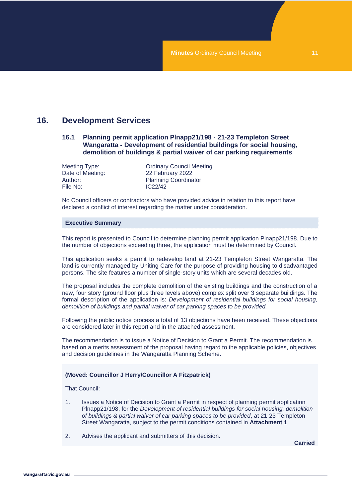## <span id="page-10-1"></span><span id="page-10-0"></span>**16. Development Services**

#### **16.1 Planning permit application Plnapp21/198 - 21-23 Templeton Street Wangaratta - Development of residential buildings for social housing, demolition of buildings & partial waiver of car parking requirements**

| Meeting Type:    | <b>Ordinary Council M</b> |
|------------------|---------------------------|
| Date of Meeting: | 22 February 2022          |
| Author:          | <b>Planning Coordina</b>  |
| File No:         | IC22/42                   |

Meeting Type: **Ordinary Council Meeting Planning Coordinator** 

No Council officers or contractors who have provided advice in relation to this report have declared a conflict of interest regarding the matter under consideration.

#### **Executive Summary**

This report is presented to Council to determine planning permit application Plnapp21/198. Due to the number of objections exceeding three, the application must be determined by Council.

This application seeks a permit to redevelop land at 21-23 Templeton Street Wangaratta. The land is currently managed by Uniting Care for the purpose of providing housing to disadvantaged persons. The site features a number of single-story units which are several decades old.

The proposal includes the complete demolition of the existing buildings and the construction of a new, four story (ground floor plus three levels above) complex split over 3 separate buildings. The formal description of the application is: *Development of residential buildings for social housing, demolition of buildings and partial waiver of car parking spaces to be provided.*

Following the public notice process a total of 13 objections have been received. These objections are considered later in this report and in the attached assessment.

The recommendation is to issue a Notice of Decision to Grant a Permit. The recommendation is based on a merits assessment of the proposal having regard to the applicable policies, objectives and decision guidelines in the Wangaratta Planning Scheme.

#### **(Moved: Councillor J Herry/Councillor A Fitzpatrick)**

That Council:

- 1. Issues a Notice of Decision to Grant a Permit in respect of planning permit application Plnapp21/198, for the *Development of residential buildings for social housing, demolition of buildings & partial waiver of car parking spaces to be provided*, at 21-23 Templeton Street Wangaratta, subject to the permit conditions contained in **Attachment 1**.
- 2. Advises the applicant and submitters of this decision.

**Carried**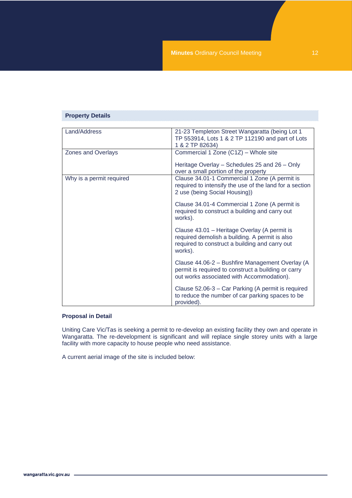#### **Property Details**

| Land/Address              | 21-23 Templeton Street Wangaratta (being Lot 1<br>TP 553914, Lots 1 & 2 TP 112190 and part of Lots<br>1 & 2 TP 82634)                                       |
|---------------------------|-------------------------------------------------------------------------------------------------------------------------------------------------------------|
| <b>Zones and Overlays</b> | Commercial 1 Zone (C1Z) - Whole site                                                                                                                        |
|                           | Heritage Overlay - Schedules 25 and 26 - Only<br>over a small portion of the property                                                                       |
| Why is a permit required  | Clause 34.01-1 Commercial 1 Zone (A permit is<br>required to intensify the use of the land for a section<br>2 use (being Social Housing))                   |
|                           | Clause 34.01-4 Commercial 1 Zone (A permit is<br>required to construct a building and carry out<br>works).                                                  |
|                           | Clause 43.01 – Heritage Overlay (A permit is<br>required demolish a building. A permit is also<br>required to construct a building and carry out<br>works). |
|                           | Clause 44.06-2 - Bushfire Management Overlay (A<br>permit is required to construct a building or carry<br>out works associated with Accommodation).         |
|                           | Clause 52.06-3 - Car Parking (A permit is required<br>to reduce the number of car parking spaces to be<br>provided).                                        |

#### **Proposal in Detail**

Uniting Care Vic/Tas is seeking a permit to re-develop an existing facility they own and operate in Wangaratta. The re-development is significant and will replace single storey units with a large facility with more capacity to house people who need assistance.

A current aerial image of the site is included below: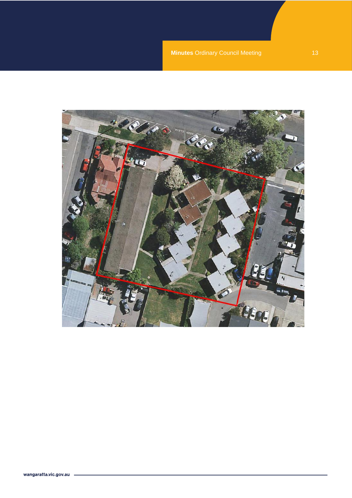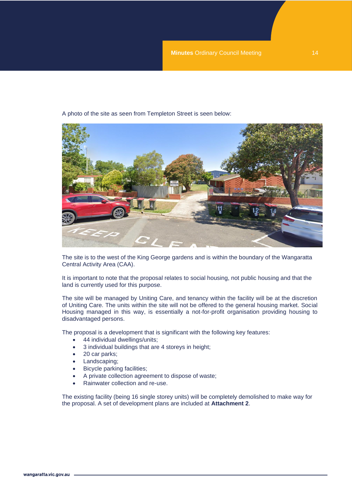#### A photo of the site as seen from Templeton Street is seen below:



The site is to the west of the King George gardens and is within the boundary of the Wangaratta Central Activity Area (CAA).

It is important to note that the proposal relates to social housing, not public housing and that the land is currently used for this purpose.

The site will be managed by Uniting Care, and tenancy within the facility will be at the discretion of Uniting Care. The units within the site will not be offered to the general housing market. Social Housing managed in this way, is essentially a not-for-profit organisation providing housing to disadvantaged persons.

The proposal is a development that is significant with the following key features:

- 44 individual dwellings/units;
- 3 individual buildings that are 4 storeys in height;
- 20 car parks;
- Landscaping;
- Bicycle parking facilities;
- A private collection agreement to dispose of waste;
- Rainwater collection and re-use.

The existing facility (being 16 single storey units) will be completely demolished to make way for the proposal. A set of development plans are included at **Attachment 2**.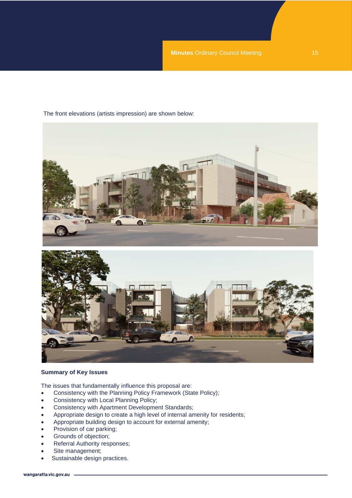#### The front elevations (artists impression) are shown below:



#### **Summary of Key Issues**

The issues that fundamentally influence this proposal are:

- Consistency with the Planning Policy Framework (State Policy);
- Consistency with Local Planning Policy;
- Consistency with Apartment Development Standards;
- Appropriate design to create a high level of internal amenity for residents;
- Appropriate building design to account for external amenity;
- Provision of car parking;
- Grounds of objection;
- Referral Authority responses;
- Site management;
- Sustainable design practices.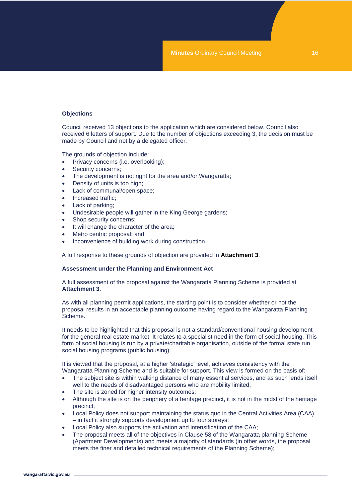#### **Objections**

Council received 13 objections to the application which are considered below. Council also received 6 letters of support. Due to the number of objections exceeding 3, the decision must be made by Council and not by a delegated officer.

The grounds of objection include:

- Privacy concerns (i.e. overlooking);
- Security concerns;
- The development is not right for the area and/or Wangaratta;
- Density of units is too high;
- Lack of communal/open space;
- Increased traffic;
- Lack of parking:
- Undesirable people will gather in the King George gardens;
- Shop security concerns;
- It will change the character of the area:
- Metro centric proposal; and
- Inconvenience of building work during construction.

A full response to these grounds of objection are provided in **Attachment 3**.

#### **Assessment under the Planning and Environment Act**

A full assessment of the proposal against the Wangaratta Planning Scheme is provided at **Attachment 3**.

As with all planning permit applications, the starting point is to consider whether or not the proposal results in an acceptable planning outcome having regard to the Wangaratta Planning Scheme.

It needs to be highlighted that this proposal is not a standard/conventional housing development for the general real estate market. It relates to a specialist need in the form of social housing. This form of social housing is run by a private/charitable organisation, outside of the formal state run social housing programs (public housing).

It is viewed that the proposal, at a higher 'strategic' level, achieves consistency with the Wangaratta Planning Scheme and is suitable for support. This view is formed on the basis of:

- The subject site is within walking distance of many essential services, and as such lends itself well to the needs of disadvantaged persons who are mobility limited;
- The site is zoned for higher intensity outcomes:
- Although the site is on the periphery of a heritage precinct, it is not in the midst of the heritage precinct;
- Local Policy does not support maintaining the status quo in the Central Activities Area (CAA) – in fact it strongly supports development up to four storeys;
- Local Policy also supports the activation and intensification of the CAA;
- The proposal meets all of the objectives in Clause 58 of the Wangaratta planning Scheme (Apartment Developments) and meets a majority of standards (in other words, the proposal meets the finer and detailed technical requirements of the Planning Scheme);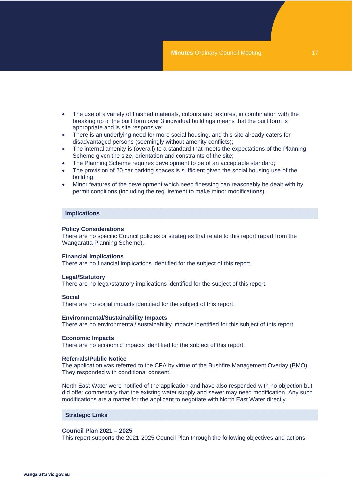- The use of a variety of finished materials, colours and textures, in combination with the breaking up of the built form over 3 individual buildings means that the built form is appropriate and is site responsive;
- There is an underlying need for more social housing, and this site already caters for disadvantaged persons (seemingly without amenity conflicts);
- The internal amenity is (overall) to a standard that meets the expectations of the Planning Scheme given the size, orientation and constraints of the site;
- The Planning Scheme requires development to be of an acceptable standard;
- The provision of 20 car parking spaces is sufficient given the social housing use of the building;
- Minor features of the development which need finessing can reasonably be dealt with by permit conditions (including the requirement to make minor modifications).

#### **Implications**

#### **Policy Considerations**

There are no specific Council policies or strategies that relate to this report (apart from the Wangaratta Planning Scheme).

#### **Financial Implications**

There are no financial implications identified for the subject of this report.

#### **Legal/Statutory**

There are no legal/statutory implications identified for the subject of this report.

#### **Social**

There are no social impacts identified for the subject of this report.

#### **Environmental/Sustainability Impacts**

There are no environmental/ sustainability impacts identified for this subject of this report.

#### **Economic Impacts**

There are no economic impacts identified for the subject of this report.

#### **Referrals/Public Notice**

The application was referred to the CFA by virtue of the Bushfire Management Overlay (BMO). They responded with conditional consent.

North East Water were notified of the application and have also responded with no objection but did offer commentary that the existing water supply and sewer may need modification. Any such modifications are a matter for the applicant to negotiate with North East Water directly.

#### **Strategic Links**

#### **Council Plan 2021 – 2025**

This report supports the 2021-2025 Council Plan through the following objectives and actions: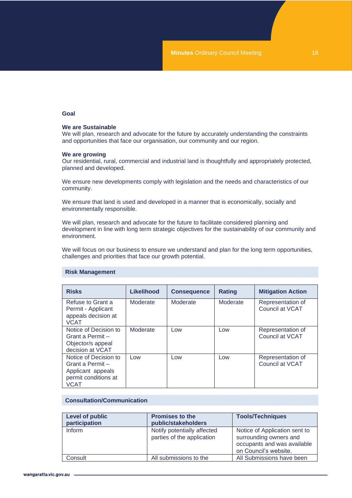#### **Goal**

#### **We are Sustainable**

We will plan, research and advocate for the future by accurately understanding the constraints and opportunities that face our organisation, our community and our region.

#### **We are growing**

Our residential, rural, commercial and industrial land is thoughtfully and appropriately protected, planned and developed.

We ensure new developments comply with legislation and the needs and characteristics of our community.

We ensure that land is used and developed in a manner that is economically, socially and environmentally responsible.

We will plan, research and advocate for the future to facilitate considered planning and development in line with long term strategic objectives for the sustainability of our community and environment.

We will focus on our business to ensure we understand and plan for the long term opportunities, challenges and priorities that face our growth potential.

#### **Risk Management**

| <b>Risks</b>                                                                                  | <b>Likelihood</b> | <b>Consequence</b> | Rating   | <b>Mitigation Action</b>             |
|-----------------------------------------------------------------------------------------------|-------------------|--------------------|----------|--------------------------------------|
| Refuse to Grant a<br>Permit - Applicant<br>appeals decision at<br><b>VCAT</b>                 | Moderate          | Moderate           | Moderate | Representation of<br>Council at VCAT |
| Notice of Decision to<br>Grant a Permit-<br>Objector/s appeal<br>decision at VCAT             | Moderate          | Low                | Low      | Representation of<br>Council at VCAT |
| Notice of Decision to<br>Grant a Permit-<br>Applicant appeals<br>permit conditions at<br>VCAT | Low               | Low                | Low      | Representation of<br>Council at VCAT |

#### **Consultation/Communication**

| Level of public<br>participation | <b>Promises to the</b><br>public/stakeholders             | <b>Tools/Techniques</b>                                                                                         |
|----------------------------------|-----------------------------------------------------------|-----------------------------------------------------------------------------------------------------------------|
| Inform                           | Notify potentially affected<br>parties of the application | Notice of Application sent to<br>surrounding owners and<br>occupants and was available<br>on Council's website. |
| Consult                          | All submissions to the                                    | All Submissions have been                                                                                       |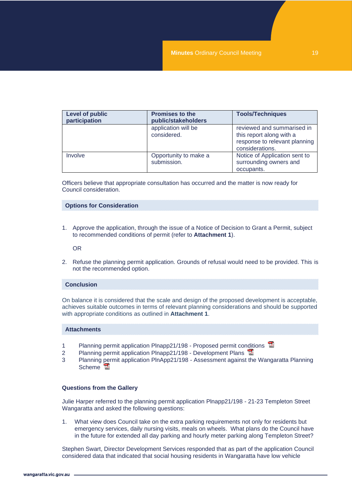| Level of public<br>participation | <b>Promises to the</b><br>public/stakeholders | <b>Tools/Techniques</b>                                                                                    |
|----------------------------------|-----------------------------------------------|------------------------------------------------------------------------------------------------------------|
|                                  | application will be<br>considered.            | reviewed and summarised in<br>this report along with a<br>response to relevant planning<br>considerations. |
| Involve                          | Opportunity to make a<br>submission.          | Notice of Application sent to<br>surrounding owners and<br>occupants.                                      |

Officers believe that appropriate consultation has occurred and the matter is now ready for Council consideration.

#### **Options for Consideration**

1. Approve the application, through the issue of a Notice of Decision to Grant a Permit, subject to recommended conditions of permit (refer to **Attachment 1**).

OR

2. Refuse the planning permit application. Grounds of refusal would need to be provided. This is not the recommended option.

#### **Conclusion**

On balance it is considered that the scale and design of the proposed development is acceptable, achieves suitable outcomes in terms of relevant planning considerations and should be supported with appropriate conditions as outlined in **Attachment 1**.

#### **Attachments**

- 1 Planning permit application Plnapp21/198 Proposed permit conditions
- 2 Planning permit application Plnapp21/198 Development Plans
- 3 Planning [per](CO_22022022_MIN_2684_files/CO_22022022_MIN_2684_Attachment_21917_3.PDF)mit application PlnApp21/198 Assessment against the Wangaratta Planning Scheme<sup>r</sup>

#### **Questions from the Gallery**

Julie Harper referred to the planning permit application Plnapp21/198 - 21-23 Templeton Street Wangaratta and asked the following questions:

1. What view does Council take on the extra parking requirements not only for residents but emergency services, daily nursing visits, meals on wheels. What plans do the Council have in the future for extended all day parking and hourly meter parking along Templeton Street?

Stephen Swart, Director Development Services responded that as part of the application Council considered data that indicated that social housing residents in Wangaratta have low vehicle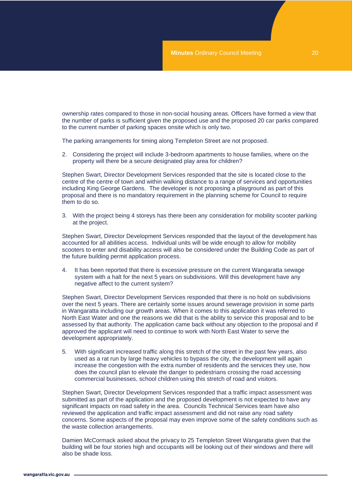ownership rates compared to those in non-social housing areas. Officers have formed a view that the number of parks is sufficient given the proposed use and the proposed 20 car parks compared to the current number of parking spaces onsite which is only two.

The parking arrangements for timing along Templeton Street are not proposed.

2. Considering the project will include 3-bedroom apartments to house families, where on the property will there be a secure designated play area for children?

Stephen Swart, Director Development Services responded that the site is located close to the centre of the centre of town and within walking distance to a range of services and opportunities including King George Gardens. The developer is not proposing a playground as part of this proposal and there is no mandatory requirement in the planning scheme for Council to require them to do so.

3. With the project being 4 storeys has there been any consideration for mobility scooter parking at the project.

Stephen Swart, Director Development Services responded that the layout of the development has accounted for all abilities access. Individual units will be wide enough to allow for mobility scooters to enter and disability access will also be considered under the Building Code as part of the future building permit application process.

4. It has been reported that there is excessive pressure on the current Wangaratta sewage system with a halt for the next 5 years on subdivisions. Will this development have any negative affect to the current system?

Stephen Swart, Director Development Services responded that there is no hold on subdivisions over the next 5 years. There are certainly some issues around sewerage provision in some parts in Wangaratta including our growth areas. When it comes to this application it was referred to North East Water and one the reasons we did that is the ability to service this proposal and to be assessed by that authority. The application came back without any objection to the proposal and if approved the applicant will need to continue to work with North East Water to serve the development appropriately.

5. With significant increased traffic along this stretch of the street in the past few years, also used as a rat run by large heavy vehicles to bypass the city, the development will again increase the congestion with the extra number of residents and the services they use, how does the council plan to elevate the danger to pedestrians crossing the road accessing commercial businesses, school children using this stretch of road and visitors.

Stephen Swart, Director Development Services responded that a traffic impact assessment was submitted as part of the application and the proposed development is not expected to have any significant impacts on road safety in the area. Councils Technical Services team have also reviewed the application and traffic impact assessment and did not raise any road safety concerns. Some aspects of the proposal may even improve some of the safety conditions such as the waste collection arrangements.

Damien McCormack asked about the privacy to 25 Templeton Street Wangaratta given that the building will be four stories high and occupants will be looking out of their windows and there will also be shade loss.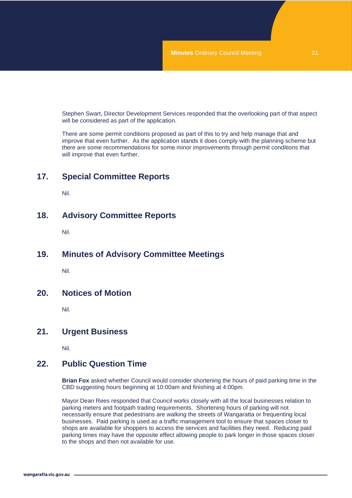Stephen Swart, Director Development Services responded that the overlooking part of that aspect will be considered as part of the application.

There are some permit conditions proposed as part of this to try and help manage that and improve that even further. As the application stands it does comply with the planning scheme but there are some recommendations for some minor improvements through permit conditions that will improve that even further.

## <span id="page-20-0"></span>**17. Special Committee Reports**

Nil.

## <span id="page-20-1"></span>**18. Advisory Committee Reports**

Nil.

## <span id="page-20-2"></span>**19. Minutes of Advisory Committee Meetings**

Nil.

## <span id="page-20-3"></span>**20. Notices of Motion**

Nil.

## <span id="page-20-4"></span>**21. Urgent Business**

Nil.

## <span id="page-20-5"></span>**22. Public Question Time**

**Brian Fox** asked whether Council would consider shortening the hours of paid parking time in the CBD suggesting hours beginning at 10:00am and finishing at 4:00pm.

Mayor Dean Rees responded that Council works closely with all the local businesses relation to parking meters and footpath trading requirements. Shortening hours of parking will not necessarily ensure that pedestrians are walking the streets of Wangaratta or frequenting local businesses. Paid parking is used as a traffic management tool to ensure that spaces closer to shops are available for shoppers to access the services and facilities they need. Reducing paid parking times may have the opposite effect allowing people to park longer in those spaces closer to the shops and then not available for use.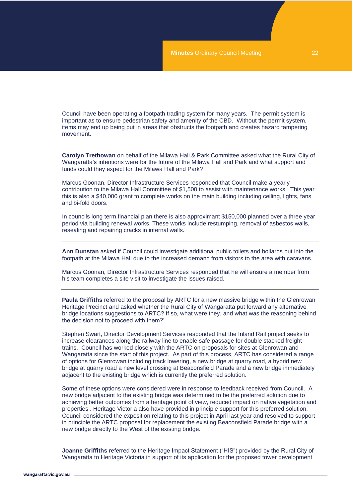Council have been operating a footpath trading system for many years. The permit system is important as to ensure pedestrian safety and amenity of the CBD. Without the permit system, items may end up being put in areas that obstructs the footpath and creates hazard tampering movement.

**Carolyn Trethowan** on behalf of the Milawa Hall & Park Committee asked what the Rural City of Wangaratta's intentions were for the future of the Milawa Hall and Park and what support and funds could they expect for the Milawa Hall and Park?

Marcus Goonan, Director Infrastructure Services responded that Council make a yearly contribution to the Milawa Hall Committee of \$1,500 to assist with maintenance works. This year this is also a \$40,000 grant to complete works on the main building including ceiling, lights, fans and bi-fold doors.

In councils long term financial plan there is also approximant \$150,000 planned over a three year period via building renewal works. These works include restumping, removal of asbestos walls, resealing and repairing cracks in internal walls.

**Ann Dunstan** asked if Council could investigate additional public toilets and bollards put into the footpath at the Milawa Hall due to the increased demand from visitors to the area with caravans.

Marcus Goonan, Director Infrastructure Services responded that he will ensure a member from his team completes a site visit to investigate the issues raised.

**Paula Griffiths** referred to the proposal by ARTC for a new massive bridge within the Glenrowan Heritage Precinct and asked whether the Rural City of Wangaratta put forward any alternative bridge locations suggestions to ARTC? If so, what were they, and what was the reasoning behind the decision not to proceed with them?'

Stephen Swart, Director Development Services responded that the Inland Rail project seeks to increase clearances along the railway line to enable safe passage for double stacked freight trains. Council has worked closely with the ARTC on proposals for sites at Glenrowan and Wangaratta since the start of this project. As part of this process, ARTC has considered a range of options for Glenrowan including track lowering, a new bridge at quarry road, a hybrid new bridge at quarry road a new level crossing at Beaconsfield Parade and a new bridge immediately adjacent to the existing bridge which is currently the preferred solution.

Some of these options were considered were in response to feedback received from Council. A new bridge adjacent to the existing bridge was determined to be the preferred solution due to achieving better outcomes from a heritage point of view, reduced impact on native vegetation and properties . Heritage Victoria also have provided in principle support for this preferred solution. Council considered the exposition relating to this project in April last year and resolved to support in principle the ARTC proposal for replacement the existing Beaconsfield Parade bridge with a new bridge directly to the West of the existing bridge.

**Joanne Griffiths** referred to the Heritage Impact Statement ("HIS") provided by the Rural City of Wangaratta to Heritage Victoria in support of its application for the proposed tower development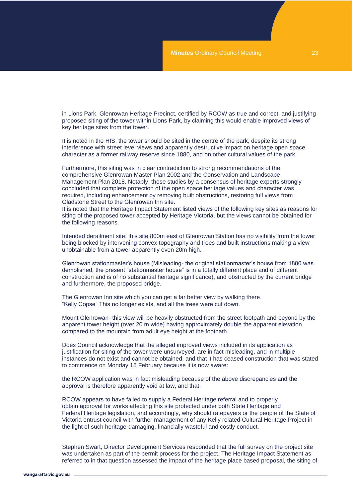in Lions Park, Glenrowan Heritage Precinct, certified by RCOW as true and correct, and justifying proposed siting of the tower within Lions Park, by claiming this would enable improved views of key heritage sites from the tower.

It is noted in the HIS, the tower should be sited in the centre of the park, despite its strong interference with street level views and apparently destructive impact on heritage open space character as a former railway reserve since 1880, and on other cultural values of the park.

Furthermore, this siting was in clear contradiction to strong recommendations of the comprehensive Glenrowan Master Plan 2002 and the Conservation and Landscape Management Plan 2018. Notably, those studies by a consensus of heritage experts strongly concluded that complete protection of the open space heritage values and character was required, including enhancement by removing built obstructions, restoring full views from Gladstone Street to the Glenrowan Inn site.

It is noted that the Heritage Impact Statement listed views of the following key sites as reasons for siting of the proposed tower accepted by Heritage Victoria, but the views cannot be obtained for the following reasons.

Intended derailment site: this site 800m east of Glenrowan Station has no visibility from the tower being blocked by intervening convex topography and trees and built instructions making a view unobtainable from a tower apparently even 20m high.

Glenrowan stationmaster's house (Misleading- the original stationmaster's house from 1880 was demolished, the present "stationmaster house" is in a totally different place and of different construction and is of no substantial heritage significance), and obstructed by the current bridge and furthermore, the proposed bridge.

The Glenrowan Inn site which you can get a far better view by walking there. "Kelly Copse" This no longer exists, and all the trees were cut down.

Mount Glenrowan- this view will be heavily obstructed from the street footpath and beyond by the apparent tower height (over 20 m wide) having approximately double the apparent elevation compared to the mountain from adult eye height at the footpath.

Does Council acknowledge that the alleged improved views included in its application as justification for siting of the tower were unsurveyed, are in fact misleading, and in multiple instances do not exist and cannot be obtained, and that it has ceased construction that was stated to commence on Monday 15 February because it is now aware:

the RCOW application was in fact misleading because of the above discrepancies and the approval is therefore apparently void at law, and that:

RCOW appears to have failed to supply a Federal Heritage referral and to properly obtain approval for works affecting this site protected under both State Heritage and Federal Heritage legislation, and accordingly, why should ratepayers or the people of the State of Victoria entrust council with further management of any Kelly related Cultural Heritage Project in the light of such heritage-damaging, financially wasteful and costly conduct.

Stephen Swart, Director Development Services responded that the full survey on the project site was undertaken as part of the permit process for the project. The Heritage Impact Statement as referred to in that question assessed the impact of the heritage place based proposal, the siting of